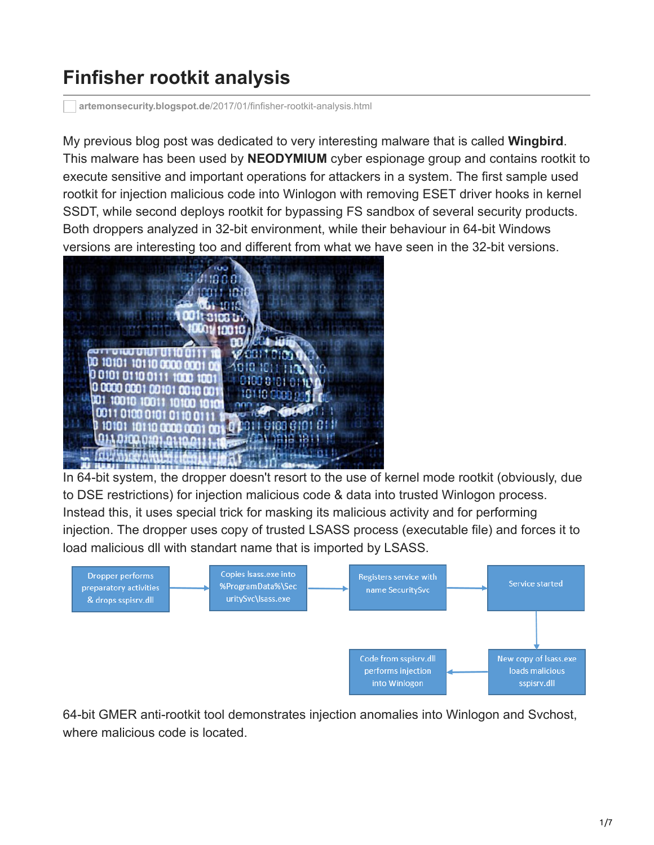## **Finfisher rootkit analysis**

**artemonsecurity.blogspot.de**[/2017/01/finfisher-rootkit-analysis.html](https://artemonsecurity.blogspot.de/2017/01/finfisher-rootkit-analysis.html)

My previous blog post was dedicated to very interesting malware that is called **Wingbird**. This malware has been used by **NEODYMIUM** cyber espionage group and contains rootkit to execute sensitive and important operations for attackers in a system. The first sample used rootkit for injection malicious code into Winlogon with removing ESET driver hooks in kernel SSDT, while second deploys rootkit for bypassing FS sandbox of several security products. Both droppers analyzed in 32-bit environment, while their behaviour in 64-bit Windows versions are interesting too and different from what we have seen in the 32-bit versions.



In 64-bit system, the dropper doesn't resort to the use of kernel mode rootkit (obviously, due to DSE restrictions) for injection malicious code & data into trusted Winlogon process. Instead this, it uses special trick for masking its malicious activity and for performing injection. The dropper uses copy of trusted LSASS process (executable file) and forces it to load malicious dll with standart name that is imported by LSASS.



64-bit GMER anti-rootkit tool demonstrates injection anomalies into Winlogon and Svchost, where malicious code is located.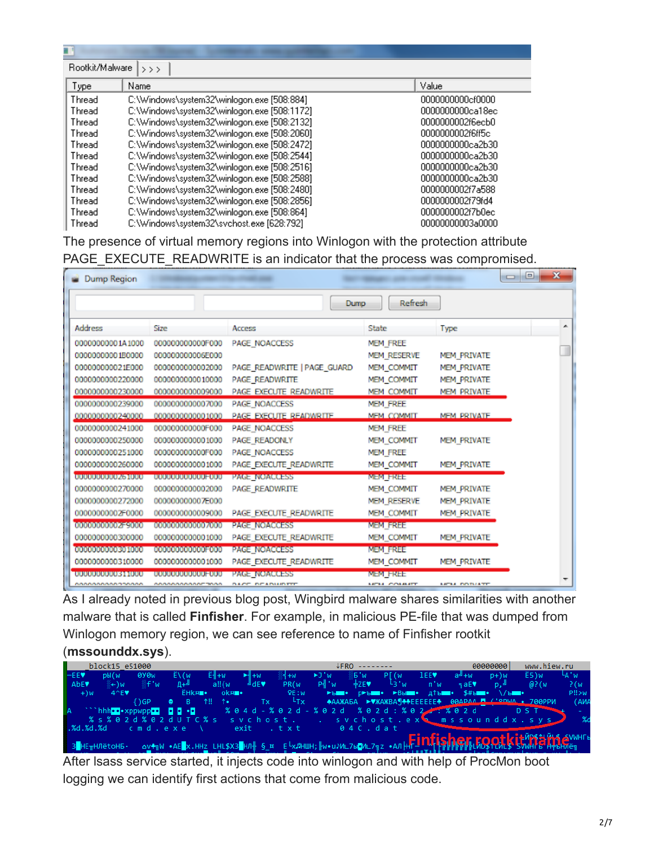| Rootkit/Malware  <br>$\rightarrow$ $>$ $>$ |                                             |                  |  |  |  |  |  |
|--------------------------------------------|---------------------------------------------|------------------|--|--|--|--|--|
| Type                                       | Name                                        | Value            |  |  |  |  |  |
| Thread                                     | C:\Windows\system32\winlogon.exe [508:884]  | 0000000000cf0000 |  |  |  |  |  |
| Thread                                     | C:\Windows\system32\winlogon.exe [508:1172] | 0000000000ca18ec |  |  |  |  |  |
| Thread                                     | C:\Windows\system32\winlogon.exe [508:2132] | 0000000002f6ecb0 |  |  |  |  |  |
| Thread                                     | C:\Windows\system32\winlogon.exe [508:2060] | 0000000002f6ff5c |  |  |  |  |  |
| Thread                                     | C:\Windows\system32\winlogon.exe [508:2472] | 0000000000ca2b30 |  |  |  |  |  |
| Thread                                     | C:\Windows\system32\winlogon.exe [508:2544] | 0000000000ca2b30 |  |  |  |  |  |
| Thread                                     | C:\Windows\system32\winlogon.exe [508:2516] | 0000000000ca2b30 |  |  |  |  |  |
| Thread                                     | C:\Windows\system32\winlogon.exe [508:2588] | 0000000000ca2b30 |  |  |  |  |  |
| Thread                                     | C:\Windows\system32\winlogon.exe [508:2480] | 0000000002f7a588 |  |  |  |  |  |
| Thread                                     | C:\Windows\system32\winlogon.exe [508:2856] | 0000000002f79fd4 |  |  |  |  |  |
| Thread                                     | C:\Windows\system32\winlogon.exe [508:864]  | 0000000002f7b0ec |  |  |  |  |  |
| Thread                                     | C:\Windows\svstem32\svchost.exe [628:792].  | 00000000003a0000 |  |  |  |  |  |

The presence of virtual memory regions into Winlogon with the protection attribute PAGE\_EXECUTE\_READWRITE is an indicator that the process was compromised.

| <b>Dump Region</b>                        |                          |                             |                                |                            | $\Box$<br>$\Box$ | $\mathbf{x}$ |
|-------------------------------------------|--------------------------|-----------------------------|--------------------------------|----------------------------|------------------|--------------|
|                                           |                          | Dump                        | Refresh                        |                            |                  |              |
| Address                                   | Size                     | Access                      | State                          | <b>Type</b>                |                  | ▲            |
| 00000000001A1000                          | 000000000000F000         | PAGE NOACCESS               | MEM FREE                       |                            |                  |              |
| 00000000001B0000                          | 000000000006E000         |                             | MEM RESERVE                    | <b>MEM PRIVATE</b>         |                  |              |
| 000000000021E000                          | 0000000000002000         | PAGE READWRITE   PAGE GUARD | MEM COMMIT                     | MEM PRIVATE                |                  |              |
| 0000000000220000                          | 0000000000010000         | <b>PAGE READWRITE</b>       | <b>MEM COMMIT</b>              | MEM PRIVATE                |                  |              |
| 0000000000230000                          | 0000000000009000         | PAGE EXECUTE READWRITE      | <b>MEM COMMIT</b>              | <b>MEM PRIVATE</b>         |                  |              |
| 0000000000239000                          | 0000000000007000         | <b>PAGE NOACCESS</b>        | MEM FREE                       |                            |                  |              |
| 0000000000240000                          | 0000000000001000         | PAGE EXECUTE READWRITE      | MFM COMMIT                     | <b>MFM PRIVATE</b>         |                  |              |
| 0000000000241000                          | 000000000000F000         | <b>PAGE NOACCESS</b>        | MEM FREE                       |                            |                  |              |
| 0000000000250000                          | 0000000000001000         | PAGE READONLY               | MEM COMMIT                     | <b>MEM PRIVATE</b>         |                  |              |
| 0000000000251000                          | 000000000000F000         | PAGE NOACCESS               | MEM FREE                       |                            |                  |              |
| 0000000000260000                          | 0000000000001000         | PAGE EXECUTE READWRITE      | MEM COMMIT                     | MEM PRIVATE                |                  |              |
| <b>AGO TATATA TATATA TATATA EN TATATA</b> | 000000000000000000       | <b>PAGE NOACCESS</b>        | MEM FREE                       |                            |                  |              |
| 0000000000270000                          | 0000000000002000         | <b>PAGE READWRITE</b>       | MEM COMMIT                     | <b>MEM PRIVATE</b>         |                  |              |
| 0000000000272000                          | 000000000007E000         |                             | MEM RESERVE                    | <b>MEM PRIVATE</b>         |                  |              |
| 00000000002F0000                          | 0000000000009000         | PAGE EXECUTE READWRITE      | MEM COMMIT                     | <b>MEM PRIVATE</b>         |                  |              |
| 00010101010101010121=90010101             | 000000000000000000000000 | <b>PAGE NOACCESS</b>        | <b>NEM FREE</b>                |                            |                  |              |
| 0000000000300000                          | 0000000000001000         | PAGE EXECUTE READWRITE      | MEM COMMIT                     | <b>MEM PRIVATE</b>         |                  |              |
| 00000000000000000000                      | 00000000000000000000000  | <b>PAGE NOACCESS</b>        | MEM FREE                       |                            |                  |              |
| 0000000000310000                          | 0000000000001000         | PAGE EXECUTE READWRITE      | MEM COMMIT                     | MEM PRIVATE                |                  |              |
| 00000000000311000                         | 00000000000000000        | <b>PAGE NOACCESS</b>        | MEM FREE                       |                            |                  |              |
| <b>MANANANANANANAN</b>                    | COACOACOACOA TOAC        | DACE DEADURED               | <b><i>ARTAIN CONSIGNER</i></b> | <b><i>MEAS POTUATE</i></b> |                  |              |

As I already noted in previous blog post, Wingbird malware shares similarities with another malware that is called **Finfisher**. For example, in malicious PE-file that was dumped from Winlogon memory region, we can see reference to name of Finfisher rootkit

## (**mssounddx.sys**).

|                  | block15 e51000    |                                                  |                     |               |                                                           |                  |                           | <b>JFRO</b> -------- |                                                                                                                                                                                                   |      |                         | 00000000 | www.hiew.ru                                                                                                |                  |
|------------------|-------------------|--------------------------------------------------|---------------------|---------------|-----------------------------------------------------------|------------------|---------------------------|----------------------|---------------------------------------------------------------------------------------------------------------------------------------------------------------------------------------------------|------|-------------------------|----------|------------------------------------------------------------------------------------------------------------|------------------|
| ⊩EEV             | pЫ(w              | 0Y <sub>Ow</sub>                                 |                     |               |                                                           | $M + W$          | $\blacktriangleright$ J'w | %5'w                 | P <sub>W</sub>                                                                                                                                                                                    | 1EEV | $a^{\underline{u}} + w$ |          | E5)w                                                                                                       | <sup>L</sup> A'w |
| AbE <sup>V</sup> | ≋←)w              | ∰f'w                                             | Д+≞                 | a!!(w)        | J dE                                                      | PR <sub>(w</sub> | P∛ 'w                     | $+ZE\Psi$            | $L_3 \cdot w$                                                                                                                                                                                     | n'w  | 5aE                     | -n.≞     | @?(w                                                                                                       | P(w)             |
| $+)w$            | $4^{\wedge}E\Psi$ |                                                  | <b>ËHk¤</b> ■•      |               | ok¤∎•                                                     | QE:W             |                           |                      | $\blacktriangleright$ bis p $\blacktriangleright$ bis $\blacktriangleright$ Bbis $\blacksquare$ . A <sup>t</sup> bis $\blacktriangleright$ S#bis $\blacktriangleright$ /bis $\blacktriangleright$ |      |                         |          |                                                                                                            | P!!>w            |
|                  |                   | $\{ \}$ GP                                       | $   -$<br>$\bullet$ | <b>1!! 1.</b> | Tx                                                        | $-LTx$           |                           |                      |                                                                                                                                                                                                   |      |                         |          | +AAXAEA ► XAXBA + EEEEEE + 00APAA - '° DIJA + 700PPM                                                       | (AMA             |
|                  |                   | `hhh <mark>••</mark> •xppwpp <mark>•• 00+</mark> |                     |               | % 0 4 d - % 0 2 d - % 0 2 d = % 0 2 d : % 0 2 d = % 0 2 d |                  |                           |                      |                                                                                                                                                                                                   |      |                         |          | D S T                                                                                                      |                  |
|                  |                   |                                                  |                     |               |                                                           |                  |                           |                      |                                                                                                                                                                                                   |      |                         |          | %s%02d%02dUTC%s svchost svchost.ex% mssounddx.sys                                                          |                  |
|                  |                   | .%d.%d.%dcmd.exe                                 |                     |               | exit txt 04C.dat                                          |                  |                           |                      |                                                                                                                                                                                                   |      |                         |          |                                                                                                            |                  |
|                  |                   |                                                  |                     |               |                                                           |                  |                           |                      |                                                                                                                                                                                                   |      |                         |          |                                                                                                            |                  |
|                  |                   |                                                  |                     |               |                                                           |                  |                           |                      |                                                                                                                                                                                                   |      |                         |          |                                                                                                            |                  |
|                  | ® 3 НЕтНЛёtоНБ∙   |                                                  |                     |               |                                                           |                  |                           |                      |                                                                                                                                                                                                   |      |                         |          | OVERW · AE X.HHZ LHL\$X3 HD } S_H E LXAHUH; N . U) ML7b ML77z · ADHF ID FLEEFFFFFFL MORTULE SWHIFT HALLHAD |                  |

After lsass service started, it injects code into winlogon and with help of ProcMon boot logging we can identify first actions that come from malicious code.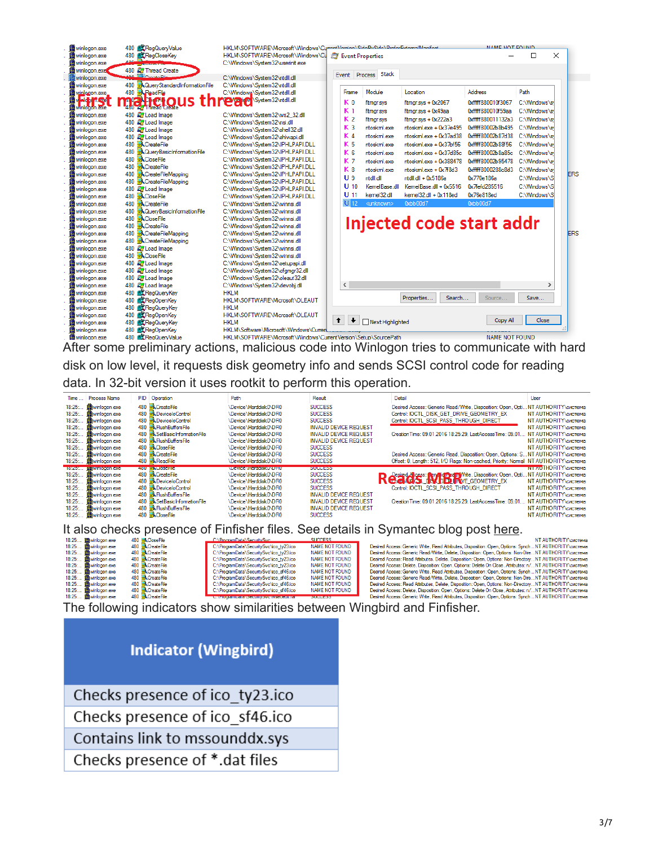| <b>M</b> winlogon.exe<br>winlogon.exe | 480 <b>Mt</b> RegQueryValue<br>480 <b>AC</b> RegCloseKey | HKLM\SOFTWARE\Microsoft\Windows\Cummet\/mminn\SidnBuSidn\BenforEdenmalManifort<br>HKLM\SOFTWARE\Microsoft\Windows\Cu |                      | Event Properties    |                             | MAME MOT COUND        | $\times$<br>П |
|---------------------------------------|----------------------------------------------------------|----------------------------------------------------------------------------------------------------------------------|----------------------|---------------------|-----------------------------|-----------------------|---------------|
| winlogon.exe                          | <b>CARDIOGRAPH</b>                                       | C:\Windows\System32\userinit.exe                                                                                     |                      |                     |                             |                       |               |
| l winlogon.exet                       | 480 <b>A</b> Thread Create                               |                                                                                                                      |                      |                     |                             |                       |               |
| winlogon.exe                          | nn <sup>19</sup> Constable                               | C:\Windows\System32\ntdll.dll                                                                                        | Event Process        | Stack               |                             |                       |               |
| winlogon.exe                          | <b>A</b> QueryStandardInformationFile<br>480             | C:\Windows\Svstem32\ntdll.dll                                                                                        |                      |                     |                             |                       |               |
| winlogon.exe                          | 480 ReadFile                                             | C:\Windows\System32\ntdll.dll                                                                                        | Frame                | Module              | Location                    | <b>Address</b>        | Path          |
| <b>Aid I TAGGET</b>                   |                                                          | System32\ntdll.dll                                                                                                   | K <sub>0</sub>       | fitmgr.sys          | fitmgr.sys + 0x2067         | 0xfffff880010f3067    | C:\Windows\s  |
| winlogon.exe                          | <b>naheto!</b>                                           |                                                                                                                      | K <sub>1</sub>       |                     |                             | 0xfffff880010f59aa    | C:\Windows\s  |
| winlogon.exe                          | 480 <b>E</b> Load Image                                  | C:\Windows\System32\ws2_32.dll                                                                                       |                      | fitmgr.sys          | fitmgr.sys + 0x49aa         |                       |               |
| winlogon.exe                          | 480 <b>A</b> Load Image                                  | C:\Windows\System32\nsi.dll                                                                                          | K <sub>2</sub>       | fitmgr.sys          | $flt$ mgr.sys + $0x222a3$   | 0xfffff880011132a3    | C:\Windows\s  |
| winlogon.exe                          | 480 <b>AP</b> Load Image                                 | C:\Windows\Svstem32\shell32.dll                                                                                      | K <sub>3</sub>       | ntoskml.exe         | $ntoskml$ exe + $0x37e495$  | 0xfffff80002b8b495    | C:\Windows\s  |
| winlogon.exe                          | 480 <b>A</b> Load Image                                  | C:\Windows\System32\shlwapi.dll                                                                                      | K 4                  | ntoskml.exe         | $ntoskml.exe + 0x37ad38$    | 0xfffff80002b87d38    | C:\Windows\s  |
| winlogon.exe                          | 480 <b>K</b> CreateFile                                  | C:\Windows\Svstem32\IPHLPAPI.DLL                                                                                     | K <sub>5</sub>       | ntoskml.exe         | $ntoskml.exe + 0x37bf56$    | 0xfffff80002b88f56    | C:\Windows\s  |
| winlogon.exe                          | 480 <b>- A Query Basic Information File</b>              | C:\Windows\Svstem32\IPHLPAPI.DLL                                                                                     | K <sub>6</sub>       | ntoskml.exe         | $ntoskml.exe + 0x37d85c$    | 0xfffff80002b8a85c    | C:\Windows\s  |
| winlogon.exe                          | 480 <b>K</b> CloseFile                                   | C:\Windows\Svstem32\IPHLPAPI.DLL                                                                                     | K <sub>7</sub>       | ntoskml.exe         | $ntoskm$ l.exe + $0x388478$ | 0xfffff80002b95478    | C:\Windows\s  |
| winlogon.exe                          | <b>K</b> CreateFile<br>480                               | C:\Windows\System32\IPHLPAPI.DLL                                                                                     | K <sub>8</sub>       | ntoskml.exe         | $ntoskm$ exe + $0x78d3$     | 0xfffff8000288c8d3    | C:\Windows\s  |
| winlogon.exe                          | - CreateFileMapping<br>480                               | C:\Windows\Svstem32\IPHLPAPI.DLL                                                                                     | U <sub>9</sub>       | ntdll.dll           | ntdll.dll + 0x5186a         | 0x770e186a            | C:\Windows\S  |
| winlogon.exe                          | 480 <b>K</b> CreateFileMapping                           | C:\Windows\System32\IPHLPAPI.DLL                                                                                     | $U$ 10               |                     |                             |                       |               |
| winlogon.exe                          | 480 <b>A</b> Load Image                                  | C:\Windows\System32\IPHLPAPI.DLL                                                                                     |                      | KemelBase.dll       | KemelBase.dll + 0x5516      | 0x7fefd285516         | C:\Windows\S  |
| winlogon.exe                          | 480 <b>KCloseFile</b>                                    | C:\Windows\System32\IPHLPAPI.DLL                                                                                     | $U$ 11               | kemel32.dll         | kemel32.dll + 0x118ed       | 0x76e818ed            | C:\Windows\S  |
| winlogon.exe                          | 480 <b>K</b> CreateFile                                  | C:\Windows\Svstem32\winnsi.dll                                                                                       | $\bigcup$ 12         | <unknown></unknown> | 0xbb00d7                    | 0xbb00d7              |               |
| winlogon.exe                          | 480 <b>- A Query Basic Information File</b>              | C:\Windows\System32\winnsi.dll                                                                                       |                      |                     |                             |                       |               |
| winlogon.exe                          | <b>R</b> CloseFile<br>480                                | C:\Windows\System32\winnsi.dll                                                                                       |                      |                     | Injected code start addr    |                       |               |
| winlogon.exe                          | <b>K</b> CreateFile<br>480                               | C:\Windows\System32\winnsi.dll                                                                                       |                      |                     |                             |                       |               |
| winlogon.exe                          | CreateFileMapping<br>480                                 | C:\Windows\Svstem32\winnsi.dll                                                                                       |                      |                     |                             |                       |               |
| winlogon.exe                          | <b>K</b> CreateFileMapping<br>480                        | C:\Windows\System32\winnsi.dll                                                                                       |                      |                     |                             |                       |               |
| winlogon.exe                          | 480 <b>A</b> Load Image                                  | C:\Windows\Svstem32\winnsi.dll                                                                                       |                      |                     |                             |                       |               |
| winlogon.exe                          | 480 <b>KCloseFile</b>                                    | C:\Windows\System32\winnsi.dll                                                                                       |                      |                     |                             |                       |               |
| winlogon.exe                          | 480 <b>A</b> Load Image                                  | C:\Windows\System32\setupapi.dll                                                                                     |                      |                     |                             |                       |               |
| winlogon.exe                          | 480 <b>Ed</b> Load Image                                 | C:\Windows\System32\cfgmgr32.dll                                                                                     |                      |                     |                             |                       |               |
| winlogon.exe                          | 480 <b>A</b> Load Image                                  | C:\Windows\Svstem32\oleaut32.dll                                                                                     |                      |                     |                             |                       |               |
| winlogon.exe                          | 480 <b>A</b> Load Image                                  | C:\Windows\System32\devobj.dll                                                                                       | $\langle$            |                     |                             |                       | x             |
| winlogon.exe                          | 480 <b>K RegQueryKey</b>                                 | <b>HKLM</b>                                                                                                          |                      |                     | Properties<br>Search        | Source                | Save          |
| winlogon.exe                          | 480 <b>RegOpenKey</b>                                    | HKLM\SOFTWARF\Microsoft\OLFAUT                                                                                       |                      |                     |                             |                       |               |
| winlogon.exe                          | 480 <b>KC</b> RegQueryKey                                | <b>HKLM</b>                                                                                                          |                      |                     |                             |                       |               |
| winlogon.exe                          | 480 <b>AL</b> RegOpenKey                                 | HKLM\SOFTWARE\Microsoft\OLEAUT                                                                                       | $\ddot{\phantom{1}}$ |                     |                             |                       | Close         |
| winlogon.exe                          | 480 <b>ALL</b> RegQuervKev                               | <b>HKLM</b>                                                                                                          | $\ddotmark$          | Next Highlighted    |                             | Copy All              |               |
| winlogon.exe                          | RegOpenKey<br>480                                        | HKLM\Software\Microsoft\Windows\Curren.                                                                              |                      |                     |                             |                       |               |
| 的winlogon.exe                         | 480 <b>图</b> CRegQuervValue                              | HKLM\SOFTWARE\Microsoft\Windows\CurrentVersion\Setup\SourcePath                                                      |                      |                     |                             | <b>NAME NOT FOUND</b> |               |

After some preliminary actions, malicious code into Winlogon tries to communicate with hard disk on low level, it requests disk geometry info and sends SCSI control code for reading data. In 32-bit version it uses rootkit to perform this operation.

| Time.  | <b>Process Name</b>     | PID Operation                     | Path                           | Result                        | Detail                                                                                  | User                         |
|--------|-------------------------|-----------------------------------|--------------------------------|-------------------------------|-----------------------------------------------------------------------------------------|------------------------------|
| 18:25: | <b>M</b> winlogon.exe   | 480 <b>R</b> CreateFile           | \Device\Harddisk0\DR0          | <b>SUCCESS</b>                | Desired Access: Generic Read/Write, Disposition: Open, Opti                             | .NT AUTHORITY CUCTEMA        |
| 18:25: | <b>M</b> winlogon.exe   | 480 - Device lo Control           | \Device\Harddisk0\DR0          | <b>SUCCESS</b>                | Control: IOCTL DISK GET DRIVE GEOMETRY EX                                               | NT AUTHORITY Система         |
| 18:25  | <b>M</b> winlogon.exe   | 480 <b>- Device lo Control</b>    | \Device\Harddisk0\DR0          | <b>SUCCESS</b>                | Control: IOCTL SCSI PASS THROUGH DIRECT                                                 | NT AUTHORITY СИСТЕМА         |
| 18:25  | <b>M</b> winlogon.exe   | 480 <b>B</b> Flush Buffers File   | \Device\Harddisk0\DR0          | <b>INVALID DEVICE REQUEST</b> |                                                                                         | NT AUTHORITY\cucTeMa         |
| 18:25: | <b>Ill</b> winlogon.exe | 480 Set Basic Information File    | \Device\Harddisk0\DR0          | <b>INVALID DEVICE REQUEST</b> | Creation Time: 09.01.2016 18:25:29. LastAccess Time: 09.01.                             | NT AUTHORITY CUCTEMB         |
| 18:25: | <b>M</b> winlogon.exe   | 480 <b>- Flush Buffers File</b>   | \Device\Harddisk0\DR0          | <b>INVALID DEVICE REQUEST</b> |                                                                                         | NT AUTHORITY CИСТЕМА         |
| 18:25  | <b>M</b> winlogon.exe   | 480 - Close File                  | \Device\Harddisk0\DR0          | <b>SUCCESS</b>                |                                                                                         | NT AUTHORITY CUCTEMB         |
| 18:25  | <b>M</b> winlogon.exe   | 480 <b>K</b> CreateFile           | \Device\Harddisk0\DR0          | <b>SUCCESS</b>                | Desired Access: Generic Read, Disposition: Open, Options: S NT AUTHORITY CUCTEMA        |                              |
| 18:25  | <b>M</b> winlogon.exe   | 480 <b>- ReadFile</b>             | \Device\Harddisk0\DR0          | <b>SUCCESS</b>                | Offset: 0, Length: 512, I/O Flags: Non-cached, Priority: Normal NT AUTHORITY\cucrema    |                              |
| 169200 | <b>MANUFACTOR CONCE</b> | 480 FACIOSCHIC                    | <b>NUEVICE NEERODISKUMUELU</b> | 50000555                      |                                                                                         | <b>INT AUTHORITY CИСТЕМА</b> |
| 18:25: | <b>ill</b> winlogon.exe | 480 <b>K</b> CreateFile           | \Device\Harddisk0\DR0          | <b>SUCCESS</b>                | Desired Access: <b>Rendicty:</b> an Write, Disposition: Open, Opti NT AUTHORITY cucrewa |                              |
| 18:25  | <b>M</b> winlogon exe   | 480 - Device lo Control           | \Device\Harddisk0\DR0          | <b>SUCCESS</b>                | Kedus IVED FIVE GEOMETRY_EX                                                             | NT AUTHORITY CHICTEMA        |
| 18:25  | <b>M</b> winlogon.exe   | 480 - Device lo Control           | \Device\Harddisk0\DR0          | <b>SUCCESS</b>                | Control: IOCTL SCSI PASS THROUGH DIRECT                                                 | NT AUTHORITY CUCTEMB         |
| 18:25  | <b>M</b> winlogon.exe   | 480 <b>- Flush Buffers File</b>   | \Device\Harddisk0\DR0          | <b>INVALID DEVICE REQUEST</b> |                                                                                         | NT AUTHORITY СИСТЕМА         |
| 18:25: | <b>M</b> winloaon.exe   | 480 - Set Basic Information File  | \Device\Harddisk0\DR0          | <b>INVALID DEVICE REQUEST</b> | Creation Time: 09.01.2016 18:25:29. LastAccess Time: 09.01 NT AUTHORITY\cucrema         |                              |
| 18:25  | <b>M</b> winlogon.exe   | 480 <b>B</b> , Flush Buffers File | \Device\Harddisk0\DR0          | <b>INVALID DEVICE REQUEST</b> |                                                                                         | NT AUTHORITY Система         |
| 18:25  | winlogon.exe            | 480 <b>KCloseFile</b>             | \Device\Harddisk0\DR0          | <b>SUCCESS</b>                |                                                                                         | NT AUTHORITY Система         |

| It also checks presence of Finfisher files. See details in Symantec blog post here. |                         |                                                   |                       |                                                                                                         |  |  |
|-------------------------------------------------------------------------------------|-------------------------|---------------------------------------------------|-----------------------|---------------------------------------------------------------------------------------------------------|--|--|
| 18:25 <b>M</b> winlogon.exe                                                         | 480 <b>EXCloseFile</b>  | C:\ProgramData\SecuritySvc                        | SUCCESS               | NT AUTHORITY система                                                                                    |  |  |
| 18:25 <b>(B</b> iwinlogon.exe                                                       | 480 <b>K</b> CreateFile | C:\ProgramData\SecuritySvc\ico tv23.ico           | <b>NAME NOT FOUND</b> | Desired Access: Generic Write, Read Attributes, Disposition: Open, Options: Synch NT AUTHORITY CHCTEMA  |  |  |
| 18:25 <b>M</b> winlogon.exe                                                         | 480 <b>K</b> CreateFile | C:\ProgramData\SecuritySvc\ico ty23.ico           | NAME NOT FOUND        | Desired Access: Generic Read/Write, Delete, Disposition: Open, Options: Non-DireNT AUTHORITY\cucrema    |  |  |
| 18:25 <b>M</b> winlogon.exe                                                         | 480 <b>K</b> CreateFile | C:\ProgramData\SecuritySvc\ico tv23.ico           | <b>NAME NOT FOUND</b> | Desired Access: Read Attributes, Delete, Disposition: Open, Options: Non-DirectoryNT AUTHORITY\cucrema  |  |  |
| 18:25<br><b>M</b> winlogon.exe                                                      | 480 <b>K</b> CreateFile | C:\ProgramData\SecuritySvcNco ty23.ico            | NAME NOT FOUND        | Desired Access: Delete, Disposition: Open, Options: Delete On Close, Attributes: n/NT AUTHORITY\cucrema |  |  |
| 18:25 19 winlogon.exe                                                               | 480 <b>K</b> CreateFile | C:\ProgramData\SecuritySvc\ico sf46.ico           | NAME NOT FOUND        | Desired Access: Generic Write, Read Attributes, Disposition: Open, Options: Synch NT AUTHORITY\cucrema  |  |  |
| 18:25<br>winlogon.exe                                                               | 480 <b>K</b> CreateFile | C:\ProgramData\SecuritySvc\ico sf46.ico           | <b>NAME NOT FOUND</b> | Desired Access: Generic Read/Write, Delete, Disposition: Open, Options: Non-DireNT AUTHORITY\cucrema    |  |  |
| 18:25 19 winlogon.exe                                                               | 480 <b>K</b> CreateFile | C:\ProgramData\SecuritySvc\ico sf46.ico           | NAME NOT FOUND        | Desired Access: Read Attributes, Delete, Disposition: Open, Options: Non-DirectoryNT AUTHORITY\cucrema  |  |  |
| 18:25 <b>M</b> winlogon.exe                                                         | 480 <b>K</b> CreateFile | C:\ProgramData\SecuritySvc\ico sf46.ico           | <b>NAME NOT FOUND</b> | Desired Access: Delete, Disposition: Open, Options: Delete On Close, Attributes: n/NT AUTHORITY\cucrema |  |  |
| 18:25 <b>(B</b> iwinlogon.exe                                                       | 480 <b>K</b> CreateFile | <b>CAMBO (IGINIBARA ASECUIA) SYCAWSEC SURFAIT</b> | <b>SUCCESS</b>        | Desired Access: Generic Write. Read Attributes. Disposition: Open. Options: Synch NT AUTHORITY\cucrema  |  |  |
| 天代 こうぎょけん こうしん うちんけいしょう こうしん こうこうきん りょうせいしょ わってい しょうこう あおし これきんけい しんけいぎょうぎんせいしゃ     |                         |                                                   |                       |                                                                                                         |  |  |

The following indicators show similarities between Wingbird and Finfisher.

| <b>Indicator (Wingbird)</b>     |
|---------------------------------|
| Checks presence of ico ty23.ico |
| Checks presence of ico sf46.ico |
| Contains link to mssounddx.sys  |
| Checks presence of *.dat files  |
|                                 |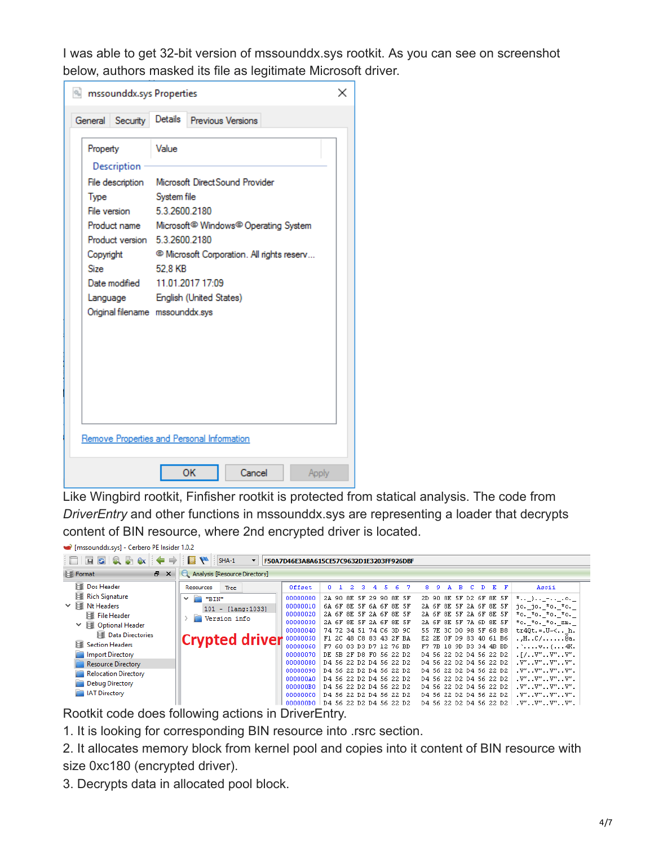I was able to get 32-bit version of mssounddx.sys rootkit. As you can see on screenshot below, authors masked its file as legitimate Microsoft driver.

| <b>Instrumedials</b> Properties                                     |                                                                                                                                                                                                                  |  |  |  |  |  |
|---------------------------------------------------------------------|------------------------------------------------------------------------------------------------------------------------------------------------------------------------------------------------------------------|--|--|--|--|--|
| General Security                                                    | Details<br>Previous Versions                                                                                                                                                                                     |  |  |  |  |  |
| Property<br>Description                                             | Value                                                                                                                                                                                                            |  |  |  |  |  |
| Type                                                                | System file                                                                                                                                                                                                      |  |  |  |  |  |
| File version                                                        | 5.3.2600.2180                                                                                                                                                                                                    |  |  |  |  |  |
| Copyright<br><b>Size</b>                                            | Product name Microsoft <sup>©</sup> Windows <sup>©</sup> Operating System<br>Product version 5.3.2600.2180<br><sup>©</sup> Microsoft Corporation. All rights reserv<br>52,8 KB<br>Date modified 11.01.2017 17:09 |  |  |  |  |  |
| Language English (United States)<br>Original filename mssounddx.sys |                                                                                                                                                                                                                  |  |  |  |  |  |
|                                                                     | Remove Properties and Personal Information                                                                                                                                                                       |  |  |  |  |  |
|                                                                     | OK<br>Cancel<br>Apply                                                                                                                                                                                            |  |  |  |  |  |

Like Wingbird rootkit, Finfisher rootkit is protected from statical analysis. The code from *DriverEntry* and other functions in mssounddx.sys are representing a loader that decrypts content of BIN resource, where 2nd encrypted driver is located.

| mssounddx.sys] - Cerbero PE Insider 1.0.2 |                                                                 |                                            |                                                    |                                                                                              |  |  |  |  |
|-------------------------------------------|-----------------------------------------------------------------|--------------------------------------------|----------------------------------------------------|----------------------------------------------------------------------------------------------|--|--|--|--|
| $\Box$ FE(Q) $\Box$ $\Box$                | <b>B</b><br>$SHA-1$<br>F50A7D46E3A8A615CE57C9632D1E3203FF926DBF |                                            |                                                    |                                                                                              |  |  |  |  |
| a x<br>Format                             | Analysis [Resource Directory]                                   |                                            |                                                    |                                                                                              |  |  |  |  |
| 尾<br>Dos Header                           | <b>Tree</b><br>Resources                                        | Offset<br>2.<br>з.<br>6.<br>n 1<br>4<br>5. | 8.<br>$E$ $F$<br>B.<br>-7.<br>-9.<br>C.<br>A<br>D. | Ascii                                                                                        |  |  |  |  |
| 踵<br><b>Rich Signature</b>                | È<br>"BIN"<br>$\checkmark$                                      | 00000000<br>2A 90 8E 5F 29<br>90 SE 5F     | 8E<br>5F D2 6F 8E 5F<br>2D 90                      | $\pi$ , ), $-$ , 0.                                                                          |  |  |  |  |
| ∨ 尾<br>Nt Headers                         | $101 - [lang:1033]$                                             | 00000010<br>6A 6F 8E 5F 6A 6F 8E 5F        | 2A 6F 8E 5F 2A 6F 8E 5F                            | jo. jo. *o. *o.                                                                              |  |  |  |  |
| 踵<br><b>File Header</b>                   |                                                                 | 00000020<br>2A 6F 8E 5F 2A 6F 8E 5F        | 8E 5F 2A 6F 8E 5F<br>2A 6F                         | *o. *o. *o. *o.                                                                              |  |  |  |  |
| Optional Header<br>$\checkmark$           | Version info                                                    | 00000030<br>2A 6F 8E 5F 2A 6F 8E 5F        | 2A 6F 8E 5F 7A 6D 8E 5F                            | *o. *o. *o. zm.                                                                              |  |  |  |  |
| Data Directories                          |                                                                 | 00000040<br>74 72 34 51 74 C6 3D 9C        | 3C DO 98 5F 68 B8<br>55 7E                         | $tr40t = U \times  h$ .                                                                      |  |  |  |  |
|                                           | <b>Crypted driver</b>                                           | 00000050<br>F1 2C 48 C8 83 43 2F BA        | E2 2E OF D9 83 40 61 B6                            | .,HC/@a.                                                                                     |  |  |  |  |
| 踵<br><b>Section Headers</b>               |                                                                 | 00000060<br>F7 60 03 D3 D7 12 76 BD        | F7 7B 18 9D B3 34 4B BD                            | $\ldots$ $\nabla$ 4K.                                                                        |  |  |  |  |
| <b>Import Directory</b>                   |                                                                 | 00000070<br>DE 5B 2F D8 F0 56 22 D2        | D4 56 22 D2 D4 56 22 D2                            | $\cdot$ [ $\prime$ $\cdot$ $\cdot$ $V''$ $\cdot$ $\cdot$ $V''$ $\cdot$ $\cdot$ $V''$ $\cdot$ |  |  |  |  |
| <b>Resource Directory</b>                 |                                                                 | 00000080<br>D4 56 22 D2 D4 56 22 D2        | D4 56 22 D2 D4 56 22 D2                            | $. v^m. . v^m. . v^m. . v^m.$                                                                |  |  |  |  |
| <b>Relocation Directory</b>               |                                                                 | 00000090<br>D4 56 22 D2 D4 56 22 D2        | D4 56 22 D2 D4 56 22 D2                            | $. v^{\prime\prime}$ . $v^{\prime\prime}$ . $v^{\prime\prime}$ . $v^{\prime\prime}$ .        |  |  |  |  |
| <b>Debug Directory</b>                    |                                                                 | 000000A0<br>D4 56 22 D2 D4 56 22 D2        | D4 56 22 D2 D4 56 22 D2                            | $. v^{\prime\prime}$ . $v^{\prime\prime}$ . $v^{\prime\prime}$ . $v^{\prime\prime}$ .        |  |  |  |  |
|                                           |                                                                 | 000000B0<br>D4 56 22 D2 D4 56 22 D2        | D4 56 22 D2 D4 56 22 D2                            | $. v^{\prime\prime}$ . $v^{\prime\prime}$ . $v^{\prime\prime}$ . $v^{\prime\prime}$ .        |  |  |  |  |
| <b>IAT Directory</b>                      |                                                                 | 00000000<br>D4 56 22 D2 D4 56 22 D2        | D4 56 22 D2 D4 56 22 D2                            | $. v^{\prime\prime}$ $v^{\prime\prime}$ $v^{\prime\prime}$ $v^{\prime\prime}$ .              |  |  |  |  |
|                                           |                                                                 | 000000D0<br>D4 56 22 D2 D4 56 22 D2        | D4 56 22 D2 D4 56 22 D2                            | $. v^{\prime\prime}. . v^{\prime\prime}. . v^{\prime\prime}. . v^{\prime\prime}.$            |  |  |  |  |

Rootkit code does following actions in DriverEntry.

1. It is looking for corresponding BIN resource into .rsrc section.

2. It allocates memory block from kernel pool and copies into it content of BIN resource with size 0xc180 (encrypted driver).

3. Decrypts data in allocated pool block.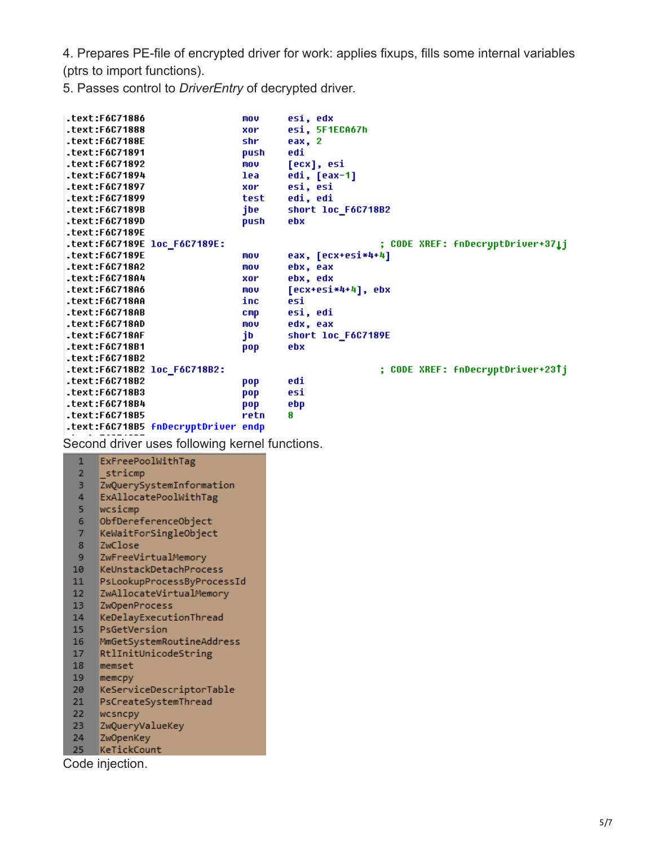4. Prepares PE-file of encrypted driver for work: applies fixups, fills some internal variables (ptrs to import functions).

5. Passes control to *DriverEntry* of decrypted driver.

|                | .text:F6C71886                                 | mov             | esi, edx                          |
|----------------|------------------------------------------------|-----------------|-----------------------------------|
|                | .text:F6C71888                                 | xor             | esi, 5F1ECA67h                    |
|                | .text:F6C7188E                                 | shr             | eax, 2                            |
|                | text:F6C71891.                                 | push            | edi                               |
|                | text:F6C71892.                                 | mou             | [ecx], esi                        |
|                | .text:F6C71894                                 | lea             | edi, [eax-1]                      |
|                | text:F6C71897.                                 | xor             | esi, esi                          |
|                | text:F6C71899.                                 | test            | edi, edi                          |
|                | text:F6C7189B.                                 | jbe             | short loc_F6C718B2                |
|                | .text:F6C7189D                                 | push            | ebx                               |
|                | .text:F6C7189E                                 |                 |                                   |
|                | .text:F6C7189E loc_F6C7189E:                   |                 | ; CODE XREF: fnDecryptDriver+371j |
|                | .text:F6C7189E                                 | mov             | eax, [ecx+esi*4+4]                |
|                | text:F6C718A2.                                 | mov             | ebx, eax                          |
|                | text:F6C718A4.                                 | xor             | ebx, edx                          |
|                | .text:F6C718A6                                 | mov             | [ecx+esi*4+4], ebx                |
|                | .text:F6C718AA                                 | inc             | esi                               |
|                | .text:F6C718AB                                 | $_{\text{cmp}}$ | esi, edi                          |
|                | .text:F6C718AD                                 | mov             | edx, eax                          |
|                | .text:F6C718AF                                 | jb              | short loc_F6C7189E                |
|                | text:F6C718B1.                                 | pop             | ebx                               |
|                | text:F6C718B2.                                 |                 |                                   |
|                | .text:F6C718B2 loc_F6C718B2:                   |                 | ; CODE XREF: fnDecryptDriver+23Tj |
|                | text:F6C718B2.                                 | pop             | edi                               |
|                | text:F6C718B3.                                 | pop             | esi                               |
|                | text:F6C718B4.                                 | pop             | ebp                               |
|                | text:F6C718B5.                                 | retn            | 8                                 |
|                | .text:F6C718B5 fnDecryptDriver endp            |                 |                                   |
|                | Second driver uses following kernel functions. |                 |                                   |
| $\mathbf{1}$   | ExFreePoolWithTag                              |                 |                                   |
| $\overline{2}$ | stricmp                                        |                 |                                   |
| 3              | ZwQuerySystemInformation                       |                 |                                   |
| 4              | ExAllocatePoolWithTag                          |                 |                                   |
| 5              | wcsicmp                                        |                 |                                   |
| 6              | ObfDereferenceObject                           |                 |                                   |
| 7              |                                                |                 |                                   |
|                | KeWaitForSingleObject                          |                 |                                   |

- ZwClose 8
- 
- 9 ZwFreeVirtualMemory<br>10 KeUnstackDetachProcess
- 11 PsLookupProcessByProcessId
- 12 ZwAllocateVirtualMemory
- 13 ZwOpenProcess
- 14 KeDelayExecutionThread
- 15 PsGetVersion
- 16 MmGetSystemRoutineAddress<br>17 RtlInitUnicodeString
- 
- 18 memset
- 19 memcpy
- 20 KeServiceDescriptorTable
- 21 PsCreateSystemThread
- 22 wcsncpy
- 
- 23 ZwQueryValueKey<br>24 ZwQpenKey<br>25 KeTickCount<br>Code injection.
-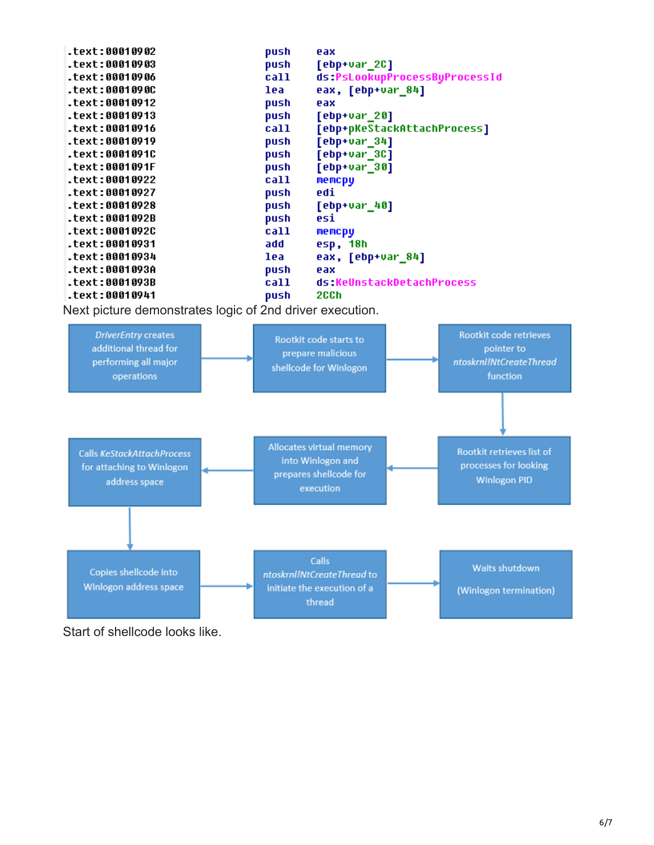| .text:00010903<br>push<br>[ebp+var_2C]<br>.text:00010906<br>call<br>ds:PsLookupProcessByProcessId<br>.text:0001090C<br>eax, [ebp+var 84]<br>lea<br>.text:00010912<br>push<br>eax<br>text:00010913.<br>push<br>[ebp+var_20]<br>.text:00010916<br>call<br>[ebp+pKeStackAttachProcess] |
|-------------------------------------------------------------------------------------------------------------------------------------------------------------------------------------------------------------------------------------------------------------------------------------|
|                                                                                                                                                                                                                                                                                     |
|                                                                                                                                                                                                                                                                                     |
|                                                                                                                                                                                                                                                                                     |
|                                                                                                                                                                                                                                                                                     |
|                                                                                                                                                                                                                                                                                     |
|                                                                                                                                                                                                                                                                                     |
| text:00010919.<br>[ebp+var_34]<br>push                                                                                                                                                                                                                                              |
| text:0001091C.<br>[ebp+var_3C]<br>push                                                                                                                                                                                                                                              |
| .text:0001091F<br>[ebp+var_30]<br>push                                                                                                                                                                                                                                              |
| .text:00010922<br>call<br>memcpy                                                                                                                                                                                                                                                    |
| text:00010927.<br>edi<br>push                                                                                                                                                                                                                                                       |
| text:00010928.<br>push<br>[ebp+var_40]                                                                                                                                                                                                                                              |
| .text:0001092B<br>push<br>esi                                                                                                                                                                                                                                                       |
| .text:0001092C<br>call<br>memcpy                                                                                                                                                                                                                                                    |
| text:00010931.<br>add<br>esp, 18h                                                                                                                                                                                                                                                   |
| .text:00010934<br>lea<br>eax, [ebp+var_84]                                                                                                                                                                                                                                          |
| .text:0001093A<br>push<br>eax                                                                                                                                                                                                                                                       |
| .text:0001093B<br>ds:KeUnstackDetachProcess<br>call                                                                                                                                                                                                                                 |
| .text:00010941<br>2CCh<br>push                                                                                                                                                                                                                                                      |

Next picture demonstrates logic of 2nd driver execution.



Start of shellcode looks like.